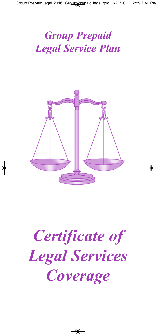## *Group Prepaid Legal Service Plan*



# *Certificate of Legal Services Coverage*

◈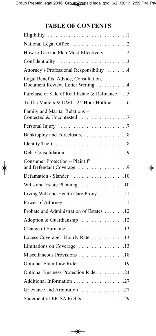### **TABLE OF CONTENTS**

| National Legal Office 2                                                    |
|----------------------------------------------------------------------------|
| How to Use the Plan Most Effectively 2                                     |
| Confidentiality 3                                                          |
| Attorney's Professional Responsibility 4                                   |
| Legal Benefits: Advice, Consultation,<br>Document Review, Letter Writing 4 |
| Purchase or Sale of Real Estate & Refinance  5                             |
| Traffic Matters & DWI - 24-Hour Hotline 6                                  |
| Family and Marital Relations -                                             |
|                                                                            |
| Bankruptcy and Foreclosure 8                                               |
|                                                                            |
| Debt Consolidation 9                                                       |
| <b>Consumer Protection - Plaintiff</b><br>and Defendant Coverage 9         |
| Defamation - Slander 10                                                    |
| Wills and Estate Planning 10                                               |
| Living Will and Health Care Proxy 11                                       |
|                                                                            |
| Probate and Administration of Estates 12                                   |
| Adoption & Guardianship 12                                                 |
| Change of Surname 13                                                       |
| Excess Coverage - Hourly Rate 13                                           |
| Limitations on Coverage 13                                                 |
| Miscellaneous Provisions 18                                                |
| Optional Elder Law Rider 19                                                |
| Optional Business Protection Rider 24                                      |
| Additional Information 27                                                  |
| Grievance and Arbitration 27                                               |
| Statement of ERISA Rights 29                                               |

◈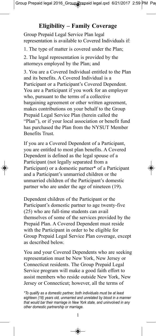#### **Eligibility – Family Coverage**

Group Prepaid Legal Service Plan legal representation is available to Covered Individuals if:

1. The type of matter is covered under the Plan;

2. The legal representation is provided by the attorneys employed by the Plan; and

3. You are a Covered Individual entitled to the Plan and its benefits. A Covered Individual is a Participant or a Participant's Covered Dependent. You are a Participant if you work for an employer who, pursuant to the terms of a collective bargaining agreement or other written agreement, makes contributions on your behalf to the Group Prepaid Legal Service Plan (herein called the "Plan"), or if your local association or benefit fund has purchased the Plan from the NYSUT Member Benefits Trust.

If you are a Covered Dependent of a Participant, you are entitled to most plan benefits. A Covered Dependent is defined as the legal spouse of a Participant (not legally separated from a Participant) or a domestic partner\* of a Participant and a Participant's unmarried children or the unmarried children of the Participant's domestic partner who are under the age of nineteen (19).

Dependent children of the Participant or the Participant's domestic partner to age twenty-five (25) who are full-time students can avail themselves of some of the services provided by the Prepaid Plan. A Covered Dependent must reside with the Participant in order to be eligible for Group Prepaid Legal Service Plan coverage, except as described below.

You and your Covered Dependents who are seeking representation must be New York, New Jersey or Connecticut residents. The Group Prepaid Legal Service program will make a good faith effort to assist members who reside outside New York, New Jersey or Connecticut; however, all the terms of

۳

*<sup>\*</sup>To qualify as a domestic partner, both individuals must be at least eighteen (18) years old, unmarried and unrelated by blood in a manner that would bar their marriage in New York state, and uninvolved in any other domestic partnership or marriage.*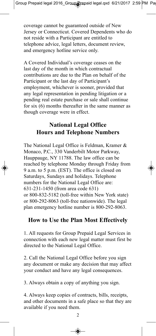coverage cannot be guaranteed outside of New Jersey or Connecticut. Covered Dependents who do not reside with a Participant are entitled to telephone advice, legal letters, document review, and emergency hotline service only.

A Covered Individual's coverage ceases on the last day of the month in which contractual contributions are due to the Plan on behalf of the Participant or the last day of Participant's employment, whichever is sooner, provided that any legal representation in pending litigation or a pending real estate purchase or sale shall continue for six (6) months thereafter in the same manner as though coverage were in effect.

#### **National Legal Office Hours and Telephone Numbers**

The National Legal Office is Feldman, Kramer & Monaco, P.C., 330 Vanderbilt Motor Parkway, Hauppauge, NY 11788. The law office can be reached by telephone Monday through Friday from 9 a.m. to 5 p.m. (EST). The office is closed on Saturdays, Sundays and holidays. Telephone numbers for the National Legal Office are: 631-231-1450 (from area code 631) or 800-832-5182 (toll-free within New York state) or 800-292-8063 (toll-free nationwide). The legal plan emergency hotline number is 800-292-8063.

#### **How to Use the Plan Most Effectively**

1. All requests for Group Prepaid Legal Services in connection with each new legal matter must first be directed to the National Legal Office.

2. Call the National Legal Office before you sign any document or make any decision that may affect your conduct and have any legal consequences.

3. Always obtain a copy of anything you sign.

4. Always keep copies of contracts, bills, receipts, and other documents in a safe place so that they are available if you need them.

 $\mathfrak{D}$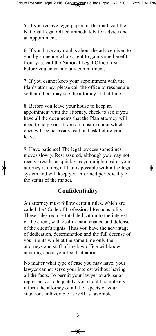5. If you receive legal papers in the mail, call the National Legal Office immediately for advice and an appointment.

6. If you have any doubts about the advice given to you by someone who sought to gain some benefit from you, call the National Legal Office first - before you enter into any commitment.

7. If you cannot keep your appointment with the Plan's attorney, please call the office to reschedule so that others may see the attorney at that time.

8. Before you leave your house to keep an appointment with the attorney, check to see if you have all the documents that the Plan attorney will need to help you. If you are unsure about which ones will be necessary, call and ask before you leave.

9. Have patience! The legal process sometimes moves slowly. Rest assured, although you may not receive results as quickly as you might desire, your attorney is doing all that is possible within the legal system and will keep you informed periodically of the status of the matter.

#### **Confidentiality**

An attorney must follow certain rules, which are called the "Code of Professional Responsibility." These rules require total dedication to the interest of the client, with zeal in maintenance and defense of the client's rights. Thus you have the advantage of dedication, determination and the full defense of your rights while at the same time only the attorneys and staff of the law office will know anything about your legal situation.

No matter what type of case you may have, your lawyer cannot serve your interest without having all the facts. To permit your lawyer to advise or represent you adequately, you should completely inform the attorney of all the aspects of your situation, unfavorable as well as favorable.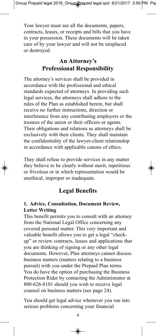Your lawyer must see all the documents, papers, contracts, leases, or receipts and bills that you have in your possession. These documents will be taken care of by your lawyer and will not be misplaced or destroyed.

#### **An Attorney's Professional Responsibility**

The attorney's services shall be provided in accordance with the professional and ethical standards expected of attorneys. In providing such legal services, the attorneys shall adhere to the rules of the Plan as established herein, but shall receive no further instructions, direction or interference from any contributing employers or the trustees of the union or their officers or agents. Their obligations and relations as attorneys shall be exclusively with their clients. They shall maintain the confidentiality of the lawyer-client relationship in accordance with applicable canons of ethics.

They shall refuse to provide services in any matter they believe to be clearly without merit, repetitious or frivolous or in which representation would be unethical, improper or inadequate.

#### **Legal Benefits**

#### **1. Advice, Consultation, Document Review, Letter Writing**

This benefit permits you to consult with an attorney from the National Legal Office concerning any covered personal matter. This very important and valuable benefit allows you to get a legal "checkup" or review contracts, leases and applications that you are thinking of signing or any other legal documents. However, Plan attorneys cannot discuss business matters (matters relating to a business pursuit) with you under the Prepaid Plan terms. You do have the option of purchasing the Business Protection Rider by contacting the Administrator at 800-626-8101 should you wish to receive legal counsel on business matters (see page 24).

You should get legal advice whenever you run into serious problems concerning your financial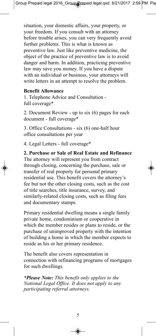situation, your domestic affairs, your property, or your freedom. If you consult with an attorney before trouble arises, you can very frequently avoid further problems. This is what is known as preventive law. Just like preventive medicine, the object of the practice of preventive law is to avoid danger and harm. In addition, practicing preventive law may save you money. If you have a dispute with an individual or business, your attorneys will write letters in an attempt to resolve the problem.

#### **Benefit Allowance**

1. Telephone Advice and Consultation full coverage\*

2. Document Review - up to six (6) pages for each document - full coverage\*

3. Office Consultations - six (6) one-half hour office consultations per year

4. Legal Letters - full coverage\*

**2. Purchase or Sale of Real Estate and Refinance** The attorney will represent you from contract through closing, concerning the purchase, sale or transfer of real property for personal primary residential use. This benefit covers the attorney's fee but not the other closing costs, such as the cost of title searches, title insurance, survey, and similarly-related closing costs, such as filing fees and documentary stamps.

Primary residential dwelling means a single family private home, condominium or cooperative in which the member resides or plans to reside, or the purchase of unimproved property with the intention of building a home in which the member expects to reside as his or her primary residence.

The benefit also covers representation in connection with refinancing programs of mortgages for such dwellings.

*\*Please Note: This benefit only applies to the National Legal Office. It does not apply to any participating referral attorneys.*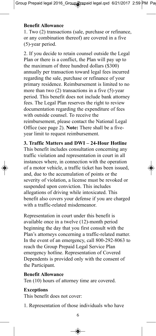#### **Benefit Allowance**

1. Two (2) transactions (sale, purchase or refinance, or any combination thereof) are covered in a five (5)-year period.

2. If you decide to retain counsel outside the Legal Plan or there is a conflict, the Plan will pay up to the maximum of three hundred dollars (\$300) annually per transaction toward legal fees incurred regarding the sale, purchase or refinance of your primary residence. Reimbursement is limited to no more than two (2) transactions in a five (5)-year period. This benefit does not include bank attorney fees. The Legal Plan reserves the right to review documentation regarding the expenditure of fees with outside counsel. To receive the reimbursement, please contact the National Legal Office (see page 2). **Note:** There shall be a fiveyear limit to request reimbursement.

**3. Traffic Matters and DWI – 24-Hour Hotline** This benefit includes consultation concerning any traffic violation and representation in court in all instances where, in connection with the operation of a motor vehicle, a traffic ticket has been issued, and, due to the accumulation of points or the severity of violation, a license must be revoked or suspended upon conviction. This includes allegations of driving while intoxicated. This benefit also covers your defense if you are charged with a traffic-related misdemeanor.

Representation in court under this benefit is available once in a twelve (12)-month period beginning the day that you first consult with the Plan's attorneys concerning a traffic-related matter. In the event of an emergency, call 800-292-8063 to reach the Group Prepaid Legal Service Plan emergency hotline. Representation of Covered Dependents is provided only with the consent of the Participant.

#### **Benefit Allowance**

Ten (10) hours of attorney time are covered.

#### **Exceptions**

This benefit does not cover:

1. Representation of those individuals who have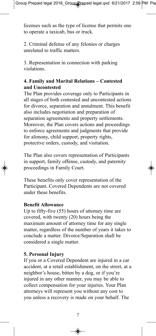licenses such as the type of license that permits one to operate a taxicab, bus or truck.

2. Criminal defense of any felonies or charges unrelated to traffic matters.

3. Representation in connection with parking violations.

#### **4. Family and Marital Relations – Contested and Uncontested**

The Plan provides coverage only to Participants in all stages of both contested and uncontested actions for divorce, separation and annulment. This benefit also includes negotiation and preparation of separation agreements and property settlements. Moreover, the Plan covers actions and proceedings to enforce agreements and judgments that provide for alimony, child support, property rights, protective orders, custody, and visitation.

The Plan also covers representation of Participants in support, family offense, custody, and paternity proceedings in Family Court.

These benefits only cover representation of the Participant. Covered Dependents are not covered under these benefits.

#### **Benefit Allowance**

Up to fifty-five (55) hours of attorney time are covered, with twenty (20) hours being the maximum amount of attorney time for any single matter, regardless of the number of years it takes to conclude a matter. Divorce/Separation shall be considered a single matter.

#### **5. Personal Injury**

If you or a Covered Dependent are injured in a car accident, at a retail establishment, on the street, at a neighbor's house, bitten by a dog, or if you're injured in any other manner, you may be able to collect compensation for your injuries. Your Plan attorneys will represent you without any cost to you unless a recovery is made on your behalf. The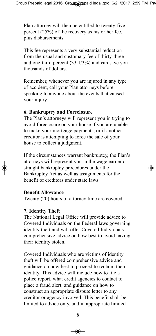Plan attorney will then be entitled to twenty-five percent (25%) of the recovery as his or her fee, plus disbursements.

This fee represents a very substantial reduction from the usual and customary fee of thirty-three and one-third percent (33 1/3%) and can save you thousands of dollars.

Remember, whenever you are injured in any type of accident, call your Plan attorneys before speaking to anyone about the events that caused your injury.

#### **6. Bankruptcy and Foreclosure**

The Plan's attorneys will represent you in trying to avoid foreclosure on your house if you are unable to make your mortgage payments, or if another creditor is attempting to force the sale of your house to collect a judgment.

If the circumstances warrant bankruptcy, the Plan's attorneys will represent you in the wage earner or straight bankruptcy procedures under the Bankruptcy Act as well as assignments for the benefit of creditors under state laws.

#### **Benefit Allowance**

Twenty (20) hours of attorney time are covered.

#### **7. Identity Theft**

The National Legal Office will provide advice to Covered Individuals on the Federal laws governing identity theft and will offer Covered Individuals comprehensive advice on how best to avoid having their identity stolen.

Covered Individuals who are victims of identity theft will be offered comprehensive advice and guidance on how best to proceed to reclaim their identity. This advice will include how to file a police report, what credit agencies to contact to place a fraud alert, and guidance on how to construct an appropriate dispute letter to any creditor or agency involved. This benefit shall be limited to advice only, and in appropriate limited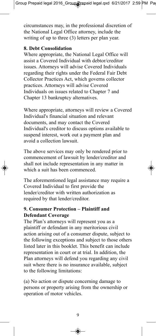circumstances may, in the professional discretion of the National Legal Office attorney, include the writing of up to three (3) letters per plan year.

#### **8. Debt Consolidation**

Where appropriate, the National Legal Office will assist a Covered Individual with debtor/creditor issues. Attorneys will advise Covered Individuals regarding their rights under the Federal Fair Debt Collector Practices Act, which governs collector practices. Attorneys will advise Covered Individuals on issues related to Chapter 7 and Chapter 13 bankruptcy alternatives.

Where appropriate, attorneys will review a Covered Individual's financial situation and relevant documents, and may contact the Covered Individual's creditor to discuss options available to suspend interest, work out a payment plan and avoid a collection lawsuit.

The above services may only be rendered prior to commencement of lawsuit by lender/creditor and shall not include representation in any matter in which a suit has been commenced.

The aforementioned legal assistance may require a Covered Individual to first provide the lender/creditor with written authorization as required by that lender/creditor.

#### **9. Consumer Protection – Plaintiff and Defendant Coverage**

The Plan's attorneys will represent you as a plaintiff or defendant in any meritorious civil action arising out of a consumer dispute, subject to the following exceptions and subject to those others listed later in this booklet. This benefit can include representation in court or at trial. In addition, the Plan attorneys will defend you regarding any civil suit where there is no insurance available, subject to the following limitations:

(a) No action or dispute concerning damage to persons or property arising from the ownership or operation of motor vehicles.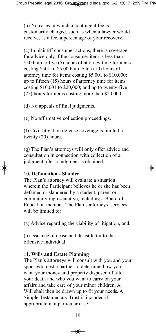(b) No cases in which a contingent fee is customarily charged, such as when a lawyer would receive, as a fee, a percentage of your recovery.

(c) In plaintiff consumer actions, there is coverage for advice only if the consumer item is less than \$500; up to five (5) hours of attorney time for items costing \$501 to \$5,000; up to ten (10) hours of attorney time for items costing \$5,001 to \$10,000; up to fifteen (15) hours of attorney time for items costing \$10,001 to \$20,000; and up to twenty-five (25) hours for items costing more than \$20,000.

(d) No appeals of final judgments.

(e) No affirmative collection proceedings.

(f) Civil litigation defense coverage is limited to twenty (20) hours.

(g) The Plan's attorneys will only offer advice and consultation in connection with collection of a judgment after a judgment is obtained.

#### **10. Defamation - Slander**

The Plan's attorney will evaluate a situation wherein the Participant believes he or she has been defamed or slandered by a student, parent or community representative, including a Board of Education member. The Plan's attorneys' services will be limited to:

(a) Advice regarding the viability of litigation, and;

(b) Issuance of cease and desist letter to the offensive individual.

#### **11. Wills and Estate Planning**

The Plan's attorneys will consult with you and your spouse/domestic partner to determine how you want your money and property disposed of after your death and who you want to carry on your affairs and take care of your minor children. A Will shall then be drawn up to fit your needs. A Simple Testamentary Trust is included if appropriate in a particular case.

10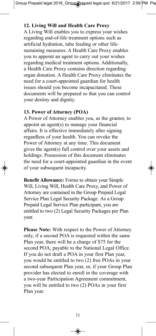#### **12. Living Will and Health Care Proxy**

A Living Will enables you to express your wishes regarding end-of-life treatment options such as artificial hydration, tube feeding or other lifesustaining measures. A Health Care Proxy enables you to appoint an agent to carry out your wishes regarding medical treatment options. Additionally, a Health Care Proxy contains direction regarding organ donation. A Health Care Proxy eliminates the need for a court-appointed guardian for health issues should you become incapacitated. These documents will be prepared so that you can control your destiny and dignity.

#### **13. Power of Attorney (POA)**

A Power of Attorney enables you, as the grantor, to appoint an agent(s) to manage your financial affairs. It is effective immediately after signing regardless of your health. You can revoke the Power of Attorney at any time. This document gives the agent(s) full control over your assets and holdings. Possession of this document eliminates the need for a court-appointed guardian in the event of your subsequent incapacity.

**Benefit Allowance:** Forms to obtain your Simple Will, Living Will, Health Care Proxy, and Power of Attorney are contained in the Group Prepaid Legal Service Plan Legal Security Package. As a Group Prepaid Legal Service Plan participant, you are entitled to two (2) Legal Security Packages per Plan year.

**Please Note:** With respect to the Power of Attorney only, if a second POA is requested within the same Plan year, there will be a charge of \$75 for the second POA, payable to the National Legal Office. If you do not draft a POA in your first Plan year, you would be entitled to two (2) free POAs in your second subsequent Plan year, or, if your Group Plan provider has elected to enroll in the coverage with a two-year Participation Agreement commitment, you will be entitled to two (2) POAs in your first Plan year.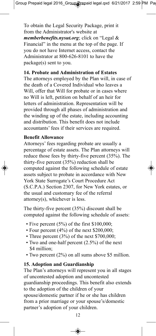To obtain the Legal Security Package, print it from the Administrator's website at *memberbenefits.nysut.org*; click on "Legal & Financial" in the menu at the top of the page. If you do not have Internet access, contact the Administrator at 800-626-8101 to have the package(s) sent to you.

#### **14. Probate and Administration of Estates**

The attorneys employed by the Plan will, in case of the death of a Covered Individual who leaves a Will, offer that Will for probate or in cases where no Will is left, petition on behalf of an heir for letters of administration. Representation will be provided through all phases of administration and the winding up of the estate, including accounting and distribution. This benefit does not include accountants' fees if their services are required.

#### **Benefit Allowance**

Attorneys' fees regarding probate are usually a percentage of estate assets. The Plan attorneys will reduce those fees by thirty-five percent (35%). The thirty-five percent (35%) reduction shall be computed against the following schedule of estate assets subject to probate in accordance with New York State Surrogate's Court Procedure Act (S.C.P.A.) Section 2307, for New York estates, or the usual and customary fee of the referral attorney(s), whichever is less.

The thirty-five percent (35%) discount shall be computed against the following schedule of assets:

- Five percent (5%) of the first \$100,000;
- Four percent (4%) of the next \$200,000;
- Three percent (3%) of the next \$700,000;
- Two and one-half percent (2.5%) of the next \$4 million:
- Two percent (2%) on all sums above \$5 million.

#### **15. Adoption and Guardianship**

The Plan's attorneys will represent you in all stages of uncontested adoption and uncontested guardianship proceedings. This benefit also extends to the adoption of the children of your spouse/domestic partner if he or she has children from a prior marriage or your spouse's/domestic partner's adoption of your children.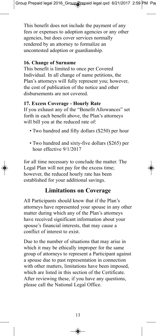This benefit does not include the payment of any fees or expenses to adoption agencies or any other agencies, but does cover services normally rendered by an attorney to formalize an uncontested adoption or guardianship.

#### **16. Change of Surname**

This benefit is limited to once per Covered Individual. In all change of name petitions, the Plan's attorneys will fully represent you; however, the cost of publication of the notice and other disbursements are not covered.

#### **17. Excess Coverage - Hourly Rate**

If you exhaust any of the "Benefit Allowances" set forth in each benefit above, the Plan's attorneys will bill you at the reduced rate of:

- Two hundred and fifty dollars (\$250) per hour
- Two hundred and sixty-five dollars (\$265) per hour effective 9/1/2017

for all time necessary to conclude the matter. The Legal Plan will not pay for the excess time; however, the reduced hourly rate has been established for your additional savings.

#### **Limitations on Coverage**

All Participants should know that if the Plan's attorneys have represented your spouse in any other matter during which any of the Plan's attorneys have received significant information about your spouse's financial interests, that may cause a conflict of interest to exist.

Due to the number of situations that may arise in which it may be ethically improper for the same group of attorneys to represent a Participant against a spouse due to past representation in connection with other matters, limitations have been imposed, which are listed in this section of the Certificate. After reviewing these, if you have any questions, please call the National Legal Office.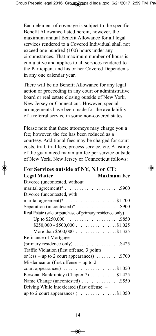Each element of coverage is subject to the specific Benefit Allowance listed herein; however, the maximum annual Benefit Allowance for all legal services rendered to a Covered Individual shall not exceed one hundred (100) hours under any circumstances. That maximum number of hours is cumulative and applies to all services rendered to the Participant and his or her Covered Dependents in any one calendar year.

There will be no Benefit Allowance for any legal action or proceeding in any court or administrative board or real estate closing outside of New York, New Jersey or Connecticut. However, special arrangements have been made for the availability of a referral service in some non-covered states.

Please note that these attorneys may charge you a fee; however, the fee has been reduced as a courtesy. Additional fees may be charged for court costs, trial, trial fees, process service, etc. A listing of the guaranteed maximum fee per service outside of New York, New Jersey or Connecticut follows:

| For Services outside of NY, NJ or CT: |                    |
|---------------------------------------|--------------------|
| Legal Matter                          | <b>Maximum Fee</b> |

| Divorce (uncontested, without                                                               |  |
|---------------------------------------------------------------------------------------------|--|
| marital agreement)* $\dots \dots \dots \dots \dots \dots \dots$ . \$900                     |  |
| Divorce (uncontested, with                                                                  |  |
| marital agreement)* $\dots \dots \dots \dots \dots \dots \dots \dots$ \$1,700               |  |
|                                                                                             |  |
| Real Estate (sale or purchase of primary residence only)                                    |  |
|                                                                                             |  |
| $$250,000 - $500,000 \ldots \ldots \ldots \ldots \ldots \ldots \ldots \ldots \ldots \ldots$ |  |
|                                                                                             |  |
| Refinance of Mortgage                                                                       |  |
| (primary residence only) $\dots \dots \dots \dots \dots$ . \$425                            |  |
| Traffic Violation (first offense, 3 points)                                                 |  |
| or less – up to 2 court appearances) $\dots \dots \dots$ \$700                              |  |
| Misdemeanor (first offense $-$ up to 2                                                      |  |
| court appearances) $\dots \dots \dots \dots \dots \dots \dots \dots$ \$1,050                |  |
| Personal Bankruptcy (Chapter 7) \$1,425                                                     |  |
| Name Change (uncontested) \$550                                                             |  |
| Driving While Intoxicated (first offense –                                                  |  |
|                                                                                             |  |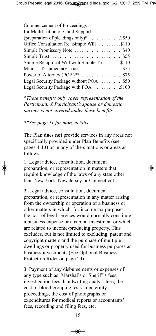*\*These benefits only cover representation of the Participant. A Participant's spouse or domestic partner is not covered under these benefits.*

*\*\*See page 11 for more details.*

The Plan **does not** provide services in any areas not specifically provided under Plan Benefits (see pages 4-13) or in any of the situations or areas as follows:

1. Legal advice, consultation, document preparation, or representation in matters that require knowledge of the laws of any state other than New York, New Jersey or Connecticut.

2. Legal advice, consultation, document preparation, or representation in any matter arising from the ownership or operation of a business or other matters in which, for income tax purposes, the cost of legal services would normally constitute a business expense or a capital investment or which are related to income-producing property. This excludes, but is not limited to excluding, patent and copyright matters and the purchase of multiple dwellings or property used for business purposes as business investments (See Optional Business Protection Rider on page 24).

3. Payment of any disbursements or expenses of any type such as: Marshal's or Sheriff's fees, investigation fees, handwriting analyst fees, the cost of blood grouping tests in paternity proceedings, the cost of photographs or expenditures for medical reports or accountants' fees, recording and filing fees, etc.

15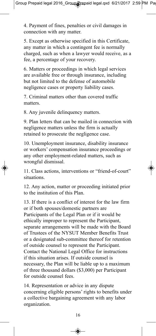4. Payment of fines, penalties or civil damages in connection with any matter.

5. Except as otherwise specified in this Certificate, any matter in which a contingent fee is normally charged, such as when a lawyer would receive, as a fee, a percentage of your recovery.

6. Matters or proceedings in which legal services are available free or through insurance, including but not limited to the defense of automobile negligence cases or property liability cases.

7. Criminal matters other than covered traffic matters.

8. Any juvenile delinquency matters.

9. Plan letters that can be mailed in connection with negligence matters unless the firm is actually retained to prosecute the negligence case.

10. Unemployment insurance, disability insurance or workers' compensation insurance proceedings or any other employment-related matters, such as wrongful dismissal.

11. Class actions, interventions or "friend-of-court" situations.

12. Any action, matter or proceeding initiated prior to the institution of this Plan.

13. If there is a conflict of interest for the law firm or if both spouses/domestic partners are Participants of the Legal Plan or if it would be ethically improper to represent the Participant, separate arrangements will be made with the Board of Trustees of the NYSUT Member Benefits Trust or a designated sub-committee thereof for retention of outside counsel to represent the Participant. Contact the National Legal Office for instructions if this situation arises. If outside counsel is necessary, the Plan will be liable up to a maximum of three thousand dollars (\$3,000) per Participant for outside counsel fees.

14. Representation or advice in any dispute concerning eligible persons' rights to benefits under a collective bargaining agreement with any labor organization.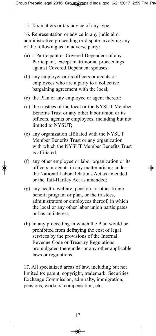15. Tax matters or tax advice of any type.

16. Representation or advice in any judicial or administrative proceeding or dispute involving any of the following as an adverse party:

- (a) a Participant or Covered Dependent of any Participant, except matrimonial proceedings against Covered Dependent spouses;
- (b) any employer or its officers or agents or employees who are a party to a collective bargaining agreement with the local;
- (c) the Plan or any employee or agent thereof;
- (d) the trustees of the local or the NYSUT Member Benefits Trust or any other labor union or its officers, agents or employees, including but not limited to NYSUT;
- (e) any organization affiliated with the NYSUT Member Benefits Trust or any organization with which the NYSUT Member Benefits Trust is affiliated;
- (f) any other employee or labor organization or its officers or agents in any matter arising under the National Labor Relations Act as amended or the Taft-Hartley Act as amended;
- (g) any health, welfare, pension, or other fringe benefit program or plan, or the trustees, administrators or employees thereof, in which the local or any other labor union participates or has an interest;
- (h) in any proceeding in which the Plan would be prohibited from defraying the cost of legal services by the provisions of the Internal Revenue Code or Treasury Regulations promulgated thereunder or any other applicable laws or regulations.

17. All specialized areas of law, including but not limited to: patent, copyright, trademark, Securities Exchange Commission, admiralty, immigration, pensions, workers' compensation, etc.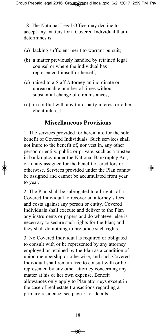18. The National Legal Office may decline to accept any matters for a Covered Individual that it determines is:

- (a) lacking sufficient merit to warrant pursuit;
- (b) a matter previously handled by retained legal counsel or where the individual has represented himself or herself;
- (c) raised to a Staff Attorney an inordinate or unreasonable number of times without substantial change of circumstances;
- (d) in conflict with any third-party interest or other client interest.

#### **Miscellaneous Provisions**

1. The services provided for herein are for the sole benefit of Covered Individuals. Such services shall not inure to the benefit of, nor vest in, any other person or entity, public or private, such as a trustee in bankruptcy under the National Bankruptcy Act, or to any assignee for the benefit of creditors or otherwise. Services provided under the Plan cannot be assigned and cannot be accumulated from year to year.

2. The Plan shall be subrogated to all rights of a Covered Individual to recover an attorney's fees and costs against any person or entity. Covered Individuals shall execute and deliver to the Plan any instruments or papers and do whatever else is necessary to secure such rights for the Plan; and they shall do nothing to prejudice such rights.

3. No Covered Individual is required or obligated to consult with or be represented by any attorney employed or retained by the Plan as a condition of union membership or otherwise, and such Covered Individual shall remain free to consult with or be represented by any other attorney concerning any matter at his or her own expense. Benefit allowances only apply to Plan attorneys except in the case of real estate transactions regarding a primary residence; see page 5 for details.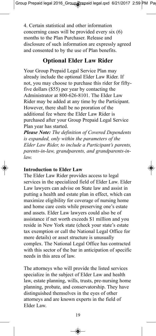4. Certain statistical and other information concerning cases will be provided every six (6) months to the Plan Purchaser. Release and disclosure of such information are expressly agreed and consented to by the use of Plan benefits.

#### **Optional Elder Law Rider**

Your Group Prepaid Legal Service Plan may already include the optional Elder Law Rider. If not, you may choose to purchase this rider for fiftyfive dollars (\$55) per year by contacting the Administrator at 800-626-8101. The Elder Law Rider may be added at any time by the Participant. However, there shall be no proration of the additional fee where the Elder Law Rider is purchased after your Group Prepaid Legal Service Plan year has started.

*Please Note: The definition of Covered Dependents is expanded, only within the parameters of the Elder Law Rider, to include a Participant's parents, parents-in-law, grandparents, and grandparents-inlaw.*

#### **Introduction to Elder Law**

The Elder Law Rider provides access to legal services in the specialized field of Elder Law. Elder Law lawyers can advise on State law and assist in putting a health and estate plan in effect, which can maximize eligibility for coverage of nursing home and home care costs while preserving one's estate and assets. Elder Law lawyers could also be of assistance if net worth exceeds \$1 million and you reside in New York state (check your state's estate tax exemption or call the National Legal Office for more details) or asset structure is unusually complex. The National Legal Office has contracted with this sector of the bar in anticipation of specific needs in this area of law.

The attorneys who will provide the listed services specialize in the subject of Elder Law and health law, estate planning, wills, trusts, pre-nursing home planning, probate, and conservatorship. They have distinguished themselves in the eyes of other attorneys and are known experts in the field of Elder Law.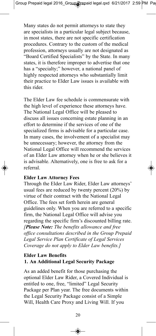Many states do not permit attorneys to state they are specialists in a particular legal subject because, in most states, there are not specific certification procedures. Contrary to the custom of the medical profession, attorneys usually are not designated as "Board Certified Specialists" by the State. In many states, it is therefore improper to advertise that one has a "specialty;" however, a national panel of highly respected attorneys who substantially limit their practice to Elder Law issues is available with this rider.

The Elder Law fee schedule is commensurate with the high level of experience these attorneys have. The National Legal Office will be pleased to discuss all issues concerning estate planning in an effort to determine if the services of one of the specialized firms is advisable for a particular case. In many cases, the involvement of a specialist may be unnecessary; however, the attorney from the National Legal Office will recommend the services of an Elder Law attorney when he or she believes it is advisable. Alternatively, one is free to ask for a referral.

#### **Elder Law Attorney Fees**

Through the Elder Law Rider, Elder Law attorneys' usual fees are reduced by twenty percent (20%) by virtue of their contract with the National Legal Office. The fees set forth herein are general guidelines only. When you are referred to a specific firm, the National Legal Office will advise you regarding the specific firm's discounted billing rate. *[Please Note: The benefits allowance and free office consultations described in the Group Prepaid Legal Service Plan Certificate of Legal Services Coverage do not apply to Elder Law benefits.]*

#### **Elder Law Benefits 1. An Additional Legal Security Package**

As an added benefit for those purchasing the optional Elder Law Rider, a Covered Individual is entitled to one, free, "limited" Legal Security Package per Plan year. The free documents within the Legal Security Package consist of a Simple Will, Health Care Proxy and Living Will. If you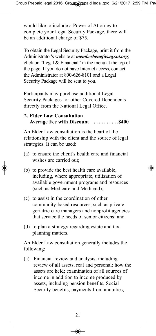would like to include a Power of Attorney to complete your Legal Security Package, there will be an additional charge of \$75.

To obtain the Legal Security Package, print it from the Administrator's website at *memberbenefits.nysut.org*; click on "Legal & Financial" in the menu at the top of the page. If you do not have Internet access, contact the Administrator at 800-626-8101 and a Legal Security Package will be sent to you.

Participants may purchase additional Legal Security Packages for other Covered Dependents directly from the National Legal Office.

#### **2. Elder Law Consultation Average Fee with Discount . . . . . . . . . .\$400**

An Elder Law consultation is the heart of the relationship with the client and the source of legal strategies. It can be used:

- (a) to ensure the client's health care and financial wishes are carried out;
- (b) to provide the best health care available, including, where appropriate, utilization of available government programs and resources (such as Medicare and Medicaid);
- (c) to assist in the coordination of other community-based resources, such as private geriatric care managers and nonprofit agencies that service the needs of senior citizens; and
- (d) to plan a strategy regarding estate and tax planning matters.

An Elder Law consultation generally includes the following:

(a) Financial review and analysis, including review of all assets, real and personal; how the assets are held; examination of all sources of income in addition to income produced by assets, including pension benefits, Social Security benefits, payments from annuities,

◈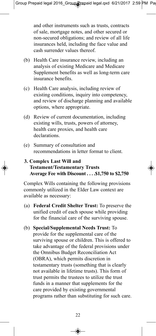and other instruments such as trusts, contracts of sale, mortgage notes, and other secured or non-secured obligations; and review of all life insurances held, including the face value and cash surrender values thereof.

- (b) Health Care insurance review, including an analysis of existing Medicare and Medicare Supplement benefits as well as long-term care insurance benefits.
- (c) Health Care analysis, including review of existing conditions, inquiry into competency, and review of discharge planning and available options, where appropriate.
- (d) Review of current documentation, including existing wills, trusts, powers of attorney, health care proxies, and health care declarations.
- (e) Summary of consultation and recommendations in letter format to client.
- **3. Complex Last Will and Testament/Testamentary Trusts Average Fee with Discount . . . .\$1,750 to \$2,750**

Complex Wills containing the following provisions commonly utilized in the Elder Law context are available as necessary:

- (a) **Federal Credit Shelter Trust:** To preserve the unified credit of each spouse while providing for the financial care of the surviving spouse.
- (b) **Special/Supplemental Needs Trust:** To provide for the supplemental care of the surviving spouse or children. This is offered to take advantage of the federal provisions under the Omnibus Budget Reconciliation Act (OBRA), which permits discretion in testamentary trusts (something that is clearly not available in lifetime trusts). This form of trust permits the trustees to utilize the trust funds in a manner that supplements for the care provided by existing governmental programs rather than substituting for such care.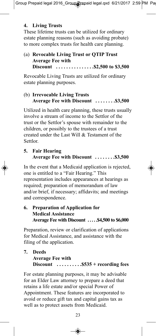#### **4. Living Trusts**

These lifetime trusts can be utilized for ordinary estate planning reasons (such as avoiding probate) to more complex trusts for health care planning.

#### (a) **Revocable Living Trust or QTIP Trust Average Fee with Discount . . . . . . . . . . . . . . .\$2,500 to \$3,500**

Revocable Living Trusts are utilized for ordinary estate planning purposes.

#### (b) **Irrevocable Living Trusts Average Fee with Discount . . . . . . . .\$3,500**

Utilized in health care planning, these trusts usually involve a stream of income to the Settlor of the trust or the Settlor's spouse with remainder to the children, or possibly to the trustees of a trust created under the Last Will & Testament of the Settlor.

#### **5. Fair Hearing Average Fee with Discount . . . . . . . .\$3,500**

In the event that a Medicaid application is rejected, one is entitled to a "Fair Hearing." This representation includes appearances at hearings as required; preparation of memorandum of law and/or brief, if necessary; affidavits; and meetings and correspondence.

#### **6. Preparation of Application for Medical Assistance Average Fee with Discount . . . . .\$4,500 to \$6,000**

Preparation, review or clarification of applications for Medical Assistance, and assistance with the filing of the application.

#### **7. Deeds Average Fee with Discount . . . . . . . . . .\$535 + recording fees**

For estate planning purposes, it may be advisable for an Elder Law attorney to prepare a deed that retains a life estate and/or special Power of Appointment. These features are incorporated to avoid or reduce gift tax and capital gains tax as well as to protect assets from Medicaid.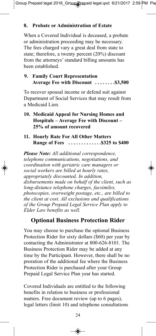#### **8. Probate or Administration of Estate**

When a Covered Individual is deceased, a probate or administration proceeding may be necessary. The fees charged vary a great deal from state to state; therefore, a twenty percent (20%) discount from the attorneys' standard billing amounts has been established.

#### **9. Family Court Representation Average Fee with Discount . . . . . . . .\$3,500**

To recover spousal income or defend suit against Department of Social Services that may result from a Medicaid Lien.

#### **10. Medicaid Appeal for Nursing Homes and Hospitals – Average Fee with Discount – 25% of amount recovered**

**11. Hourly Rate For All Other Matters Range of Fees . . . . . . . . . . . . .\$325 to \$400**

*Please Note: All additional correspondence, telephone communications, negotiations, and coordination with geriatric care managers or social workers are billed at hourly rates, appropriately discounted. In addition, disbursements made on behalf of the client, such as long-distance telephone charges, facsimiles, photocopies, overweight postage, etc., are billed to the client at cost. All exclusions and qualifications of the Group Prepaid Legal Service Plan apply to Elder Law benefits as well.*

#### **Optional Business Protection Rider**

You may choose to purchase the optional Business Protection Rider for sixty dollars (\$60) per year by contacting the Administrator at 800-626-8101. The Business Protection Rider may be added at any time by the Participant. However, there shall be no proration of the additional fee where the Business Protection Rider is purchased after your Group Prepaid Legal Service Plan year has started.

Covered Individuals are entitled to the following benefits in relation to business or professional matters. Free document review (up to 6 pages), legal letters (limit 10) and telephone consultations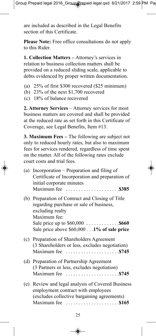are included as described in the Legal Benefits section of this Certificate.

**Please Note:** Free office consultations do not apply to this Rider.

**1. Collection Matters –** Attorney's services in relation to business collection matters shall be provided on a reduced sliding scale, applicable to debts evidenced by proper written documentation.

- (a) 25% of first \$300 recovered (\$25 minimum)
- (b) 23% of the next \$1,700 recovered
- (c) 18% of balance recovered

**2. Attorney Services** – Attorney services for most business matters are covered and shall be provided at the reduced rate as set forth in this Certificate of Coverage, see Legal Benefits, Item #13.

**3. Maximum Fees –** The following are subject not only to reduced hourly rates, but also to maximum fees for services rendered, regardless of time spent on the matter. All of the following rates exclude court costs and trial fees.

|     | (a) Incorporation – Preparation and filing of<br>Certificate of Incorporation and preparation of<br>initial corporate minutes<br>Maximum fee \$385                        |
|-----|---------------------------------------------------------------------------------------------------------------------------------------------------------------------------|
| (b) | Preparation of Contract and Closing of Title<br>regarding purchase or sale of business,<br>excluding realty<br>Maximum fee:<br>Sale price above $$60,0001%$ of sale price |
|     | (c) Preparation of Shareholders Agreement<br>(3 Shareholders or less, excludes negotiation)                                                                               |
|     | (d) Preparation of Partnership Agreement<br>(3 Partners or less, excludes negotiation)                                                                                    |
|     | (e) Review and legal analysis of Covered Business<br>employment contract with employees<br>(excludes collective bargaining agreements)                                    |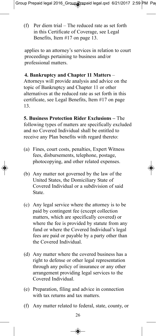(f) Per diem trial – The reduced rate as set forth in this Certificate of Coverage, see Legal Benefits, Item #17 on page 13.

applies to an attorney's services in relation to court proceedings pertaining to business and/or professional matters.

#### **4. Bankruptcy and Chapter 11 Matters** –

Attorneys will provide analysis and advice on the topic of Bankruptcy and Chapter 11 or other alternatives at the reduced rate as set forth in this certificate, see Legal Benefits, Item #17 on page 13.

**5. Business Protection Rider Exclusions –** The following types of matters are specifically excluded and no Covered Individual shall be entitled to receive any Plan benefits with regard thereto:

- (a) Fines, court costs, penalties, Expert Witness fees, disbursements, telephone, postage, photocopying, and other related expenses.
- (b) Any matter not governed by the law of the United States, the Domiciliary State of Covered Individual or a subdivision of said State.
- (c) Any legal service where the attorney is to be paid by contingent fee (except collection matters, which are specifically covered) or where the fee is provided by statute from any fund or where the Covered Individual's legal fees are paid or payable by a party other than the Covered Individual.
- (d) Any matter where the covered business has a right to defense or other legal representation through any policy of insurance or any other arrangement providing legal services to the Covered Individual.
- (e) Preparation, filing and advice in connection with tax returns and tax matters.
- (f) Any matter related to federal, state, county, or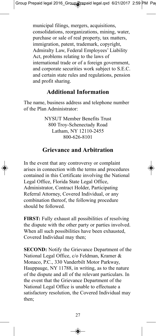municipal filings, mergers, acquisitions, consolidations, reorganizations, mining, water, purchase or sale of real property, tax matters, immigration, patent, trademark, copyright, Admiralty Law, Federal Employees' Liability Act, problems relating to the laws of international trade or of a foreign government, and corporate securities work subject to S.E.C. and certain state rules and regulations, pension and profit sharing.

#### **Additional Information**

The name, business address and telephone number of the Plan Administrator:

> NYSUT Member Benefits Trust 800 Troy-Schenectady Road Latham, NY 12110-2455 800-626-8101

#### **Grievance and Arbitration**

In the event that any controversy or complaint arises in connection with the terms and procedures contained in this Certificate involving the National Legal Office, Florida State Legal Office, Administrator, Contract Holder, Participating Referral Attorney, Covered Individual, or any combination thereof, the following procedure should be followed.

**FIRST:** Fully exhaust all possibilities of resolving the dispute with the other party or parties involved. When all such possibilities have been exhausted, Covered Individual may then;

**SECOND:** Notify the Grievance Department of the National Legal Office, c/o Feldman, Kramer & Monaco, P.C., 330 Vanderbilt Motor Parkway, Hauppauge, NY 11788, in writing, as to the nature of the dispute and all of the relevant particulars. In the event that the Grievance Department of the National Legal Office is unable to effectuate a satisfactory resolution, the Covered Individual may then;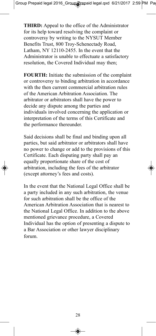**THIRD:** Appeal to the office of the Administrator for its help toward resolving the complaint or controversy by writing to the NYSUT Member Benefits Trust, 800 Troy-Schenectady Road, Latham, NY 12110-2455. In the event that the Administrator is unable to effectuate a satisfactory resolution, the Covered Individual may then;

**FOURTH:** Initiate the submission of the complaint or controversy to binding arbitration in accordance with the then current commercial arbitration rules of the American Arbitration Association. The arbitrator or arbitrators shall have the power to decide any dispute among the parties and individuals involved concerning the application or interpretation of the terms of this Certificate and the performance thereunder.

Said decisions shall be final and binding upon all parties, but said arbitrator or arbitrators shall have no power to change or add to the provisions of this Certificate. Each disputing party shall pay an equally proportionate share of the cost of arbitration, including the fees of the arbitrator (except attorney's fees and costs).

In the event that the National Legal Office shall be a party included in any such arbitration, the venue for such arbitration shall be the office of the American Arbitration Association that is nearest to the National Legal Office. In addition to the above mentioned grievance procedure, a Covered Individual has the option of presenting a dispute to a Bar Association or other lawyer disciplinary forum.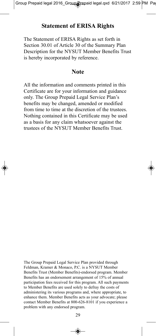#### **Statement of ERISA Rights**

The Statement of ERISA Rights as set forth in Section 30.01 of Article 30 of the Summary Plan Description for the NYSUT Member Benefits Trust is hereby incorporated by reference.

#### **Note**

All the information and comments printed in this Certificate are for your information and guidance only. The Group Prepaid Legal Service Plan's benefits may be changed, amended or modified from time to time at the discretion of the trustees. Nothing contained in this Certificate may be used as a basis for any claim whatsoever against the trustees of the NYSUT Member Benefits Trust.

The Group Prepaid Legal Service Plan provided through Feldman, Kramer & Monaco, P.C. is a NYSUT Member Benefits Trust (Member Benefits)-endorsed program. Member Benefits has an endorsement arrangement of 15% of annual participation fees received for this program. All such payments to Member Benefits are used solely to defray the costs of administering its various programs and, where appropriate, to enhance them. Member Benefits acts as your advocate; please contact Member Benefits at 800-626-8101 if you experience a problem with any endorsed program.